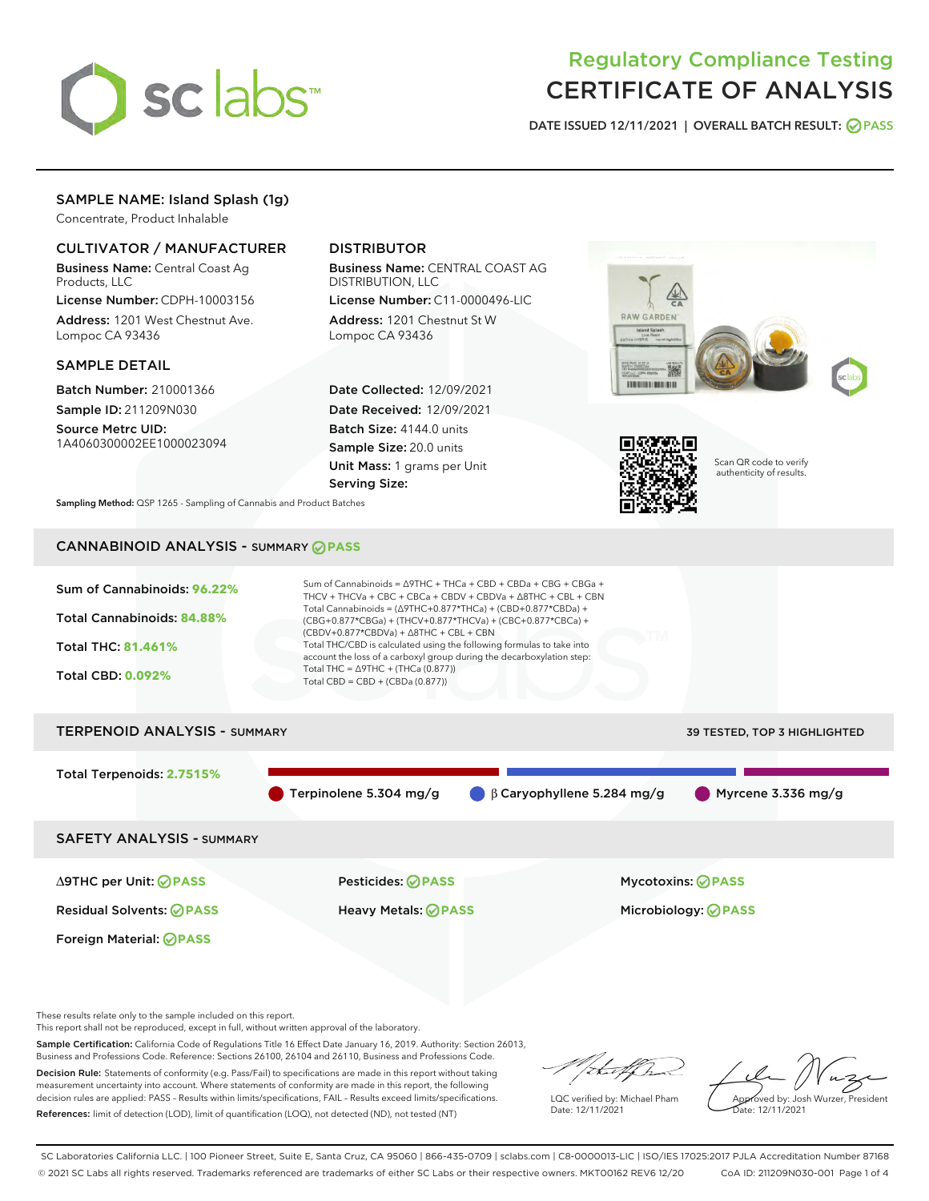

# Regulatory Compliance Testing CERTIFICATE OF ANALYSIS

DATE ISSUED 12/11/2021 | OVERALL BATCH RESULT: @ PASS

# SAMPLE NAME: Island Splash (1g)

Concentrate, Product Inhalable

# CULTIVATOR / MANUFACTURER

Business Name: Central Coast Ag Products, LLC

License Number: CDPH-10003156 Address: 1201 West Chestnut Ave. Lompoc CA 93436

#### SAMPLE DETAIL

Batch Number: 210001366 Sample ID: 211209N030

Source Metrc UID: 1A4060300002EE1000023094

# DISTRIBUTOR

Business Name: CENTRAL COAST AG DISTRIBUTION, LLC

License Number: C11-0000496-LIC Address: 1201 Chestnut St W Lompoc CA 93436

Date Collected: 12/09/2021 Date Received: 12/09/2021 Batch Size: 4144.0 units Sample Size: 20.0 units Unit Mass: 1 grams per Unit Serving Size:





Scan QR code to verify authenticity of results.

Sampling Method: QSP 1265 - Sampling of Cannabis and Product Batches

# CANNABINOID ANALYSIS - SUMMARY **PASS**



Terpinolene 5.304 mg/g β Caryophyllene 5.284 mg/g Myrcene 3.336 mg/g

SAFETY ANALYSIS - SUMMARY

∆9THC per Unit: **PASS** Pesticides: **PASS** Mycotoxins: **PASS**

Foreign Material: **PASS**

Residual Solvents: **PASS** Heavy Metals: **PASS** Microbiology: **PASS**

These results relate only to the sample included on this report.

This report shall not be reproduced, except in full, without written approval of the laboratory.

Sample Certification: California Code of Regulations Title 16 Effect Date January 16, 2019. Authority: Section 26013, Business and Professions Code. Reference: Sections 26100, 26104 and 26110, Business and Professions Code.

Decision Rule: Statements of conformity (e.g. Pass/Fail) to specifications are made in this report without taking measurement uncertainty into account. Where statements of conformity are made in this report, the following decision rules are applied: PASS – Results within limits/specifications, FAIL – Results exceed limits/specifications. References: limit of detection (LOD), limit of quantification (LOQ), not detected (ND), not tested (NT)

that fCh

LQC verified by: Michael Pham Date: 12/11/2021

Approved by: Josh Wurzer, President ate: 12/11/2021

SC Laboratories California LLC. | 100 Pioneer Street, Suite E, Santa Cruz, CA 95060 | 866-435-0709 | sclabs.com | C8-0000013-LIC | ISO/IES 17025:2017 PJLA Accreditation Number 87168 © 2021 SC Labs all rights reserved. Trademarks referenced are trademarks of either SC Labs or their respective owners. MKT00162 REV6 12/20 CoA ID: 211209N030-001 Page 1 of 4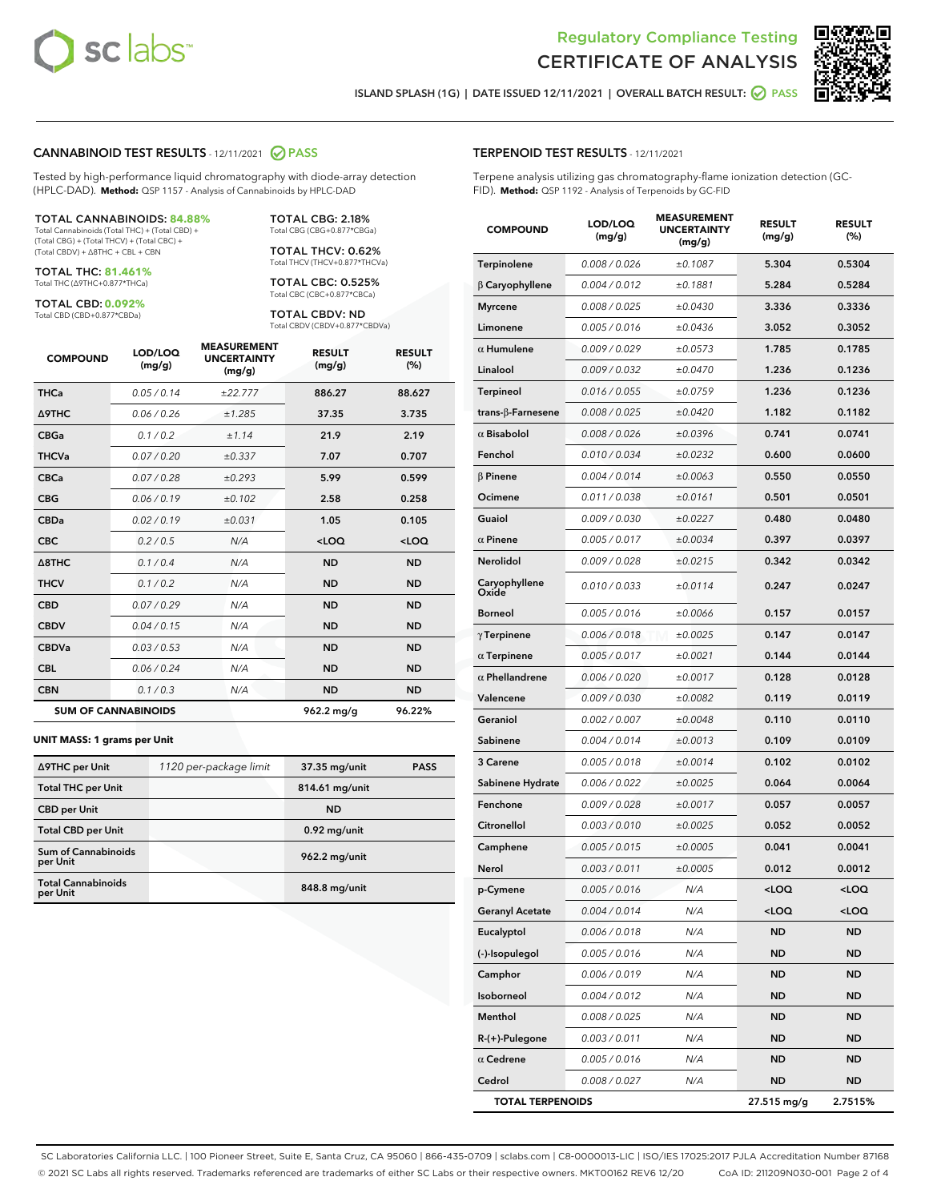



ISLAND SPLASH (1G) | DATE ISSUED 12/11/2021 | OVERALL BATCH RESULT: **○** PASS

#### CANNABINOID TEST RESULTS - 12/11/2021 2 PASS

Tested by high-performance liquid chromatography with diode-array detection (HPLC-DAD). **Method:** QSP 1157 - Analysis of Cannabinoids by HPLC-DAD

#### TOTAL CANNABINOIDS: **84.88%**

Total Cannabinoids (Total THC) + (Total CBD) + (Total CBG) + (Total THCV) + (Total CBC) + (Total CBDV) + ∆8THC + CBL + CBN

TOTAL THC: **81.461%** Total THC (∆9THC+0.877\*THCa)

TOTAL CBD: **0.092%**

Total CBD (CBD+0.877\*CBDa)

TOTAL CBG: 2.18% Total CBG (CBG+0.877\*CBGa)

TOTAL THCV: 0.62% Total THCV (THCV+0.877\*THCVa)

TOTAL CBC: 0.525% Total CBC (CBC+0.877\*CBCa)

TOTAL CBDV: ND Total CBDV (CBDV+0.877\*CBDVa)

| <b>COMPOUND</b>  | LOD/LOQ<br>(mg/g)          | <b>MEASUREMENT</b><br><b>UNCERTAINTY</b><br>(mg/g) | <b>RESULT</b><br>(mg/g) | <b>RESULT</b><br>(%) |
|------------------|----------------------------|----------------------------------------------------|-------------------------|----------------------|
| <b>THCa</b>      | 0.05/0.14                  | ±22.777                                            | 886.27                  | 88.627               |
| Δ9THC            | 0.06 / 0.26                | ±1.285                                             | 37.35                   | 3.735                |
| <b>CBGa</b>      | 0.1/0.2                    | ±1.14                                              | 21.9                    | 2.19                 |
| <b>THCVa</b>     | 0.07/0.20                  | ±0.337                                             | 7.07                    | 0.707                |
| <b>CBCa</b>      | 0.07 / 0.28                | ±0.293                                             | 5.99                    | 0.599                |
| <b>CBG</b>       | 0.06/0.19                  | ±0.102                                             | 2.58                    | 0.258                |
| <b>CBDa</b>      | 0.02/0.19                  | ±0.031                                             | 1.05                    | 0.105                |
| <b>CBC</b>       | 0.2 / 0.5                  | N/A                                                | $<$ LOQ                 | <loq< td=""></loq<>  |
| $\triangle$ 8THC | 0.1/0.4                    | N/A                                                | <b>ND</b>               | <b>ND</b>            |
| <b>THCV</b>      | 0.1 / 0.2                  | N/A                                                | <b>ND</b>               | <b>ND</b>            |
| <b>CBD</b>       | 0.07/0.29                  | N/A                                                | <b>ND</b>               | <b>ND</b>            |
| <b>CBDV</b>      | 0.04 / 0.15                | N/A                                                | <b>ND</b>               | <b>ND</b>            |
| <b>CBDVa</b>     | 0.03 / 0.53                | N/A                                                | <b>ND</b>               | <b>ND</b>            |
| <b>CBL</b>       | 0.06 / 0.24                | N/A                                                | <b>ND</b>               | <b>ND</b>            |
| <b>CBN</b>       | 0.1/0.3                    | N/A                                                | <b>ND</b>               | <b>ND</b>            |
|                  | <b>SUM OF CANNABINOIDS</b> |                                                    | 962.2 mg/g              | 96.22%               |

#### **UNIT MASS: 1 grams per Unit**

| ∆9THC per Unit                        | 1120 per-package limit | 37.35 mg/unit  | <b>PASS</b> |
|---------------------------------------|------------------------|----------------|-------------|
| <b>Total THC per Unit</b>             |                        | 814.61 mg/unit |             |
| <b>CBD</b> per Unit                   |                        | <b>ND</b>      |             |
| <b>Total CBD per Unit</b>             |                        | $0.92$ mg/unit |             |
| Sum of Cannabinoids<br>per Unit       |                        | 962.2 mg/unit  |             |
| <b>Total Cannabinoids</b><br>per Unit |                        | 848.8 mg/unit  |             |

#### TERPENOID TEST RESULTS - 12/11/2021

Terpene analysis utilizing gas chromatography-flame ionization detection (GC-FID). **Method:** QSP 1192 - Analysis of Terpenoids by GC-FID

| <b>COMPOUND</b>          | LOD/LOQ<br>(mg/g) | <b>MEASUREMENT</b><br><b>UNCERTAINTY</b><br>(mg/g) | <b>RESULT</b><br>(mg/g)                         | <b>RESULT</b><br>(%) |
|--------------------------|-------------------|----------------------------------------------------|-------------------------------------------------|----------------------|
| Terpinolene              | 0.008 / 0.026     | ±0.1087                                            | 5.304                                           | 0.5304               |
| $\beta$ Caryophyllene    | 0.004 / 0.012     | ±0.1881                                            | 5.284                                           | 0.5284               |
| <b>Myrcene</b>           | 0.008 / 0.025     | ±0.0430                                            | 3.336                                           | 0.3336               |
| Limonene                 | 0.005 / 0.016     | ±0.0436                                            | 3.052                                           | 0.3052               |
| $\alpha$ Humulene        | 0.009/0.029       | ±0.0573                                            | 1.785                                           | 0.1785               |
| Linalool                 | 0.009 / 0.032     | ±0.0470                                            | 1.236                                           | 0.1236               |
| <b>Terpineol</b>         | 0.016 / 0.055     | ±0.0759                                            | 1.236                                           | 0.1236               |
| $trans-\beta$ -Farnesene | 0.008 / 0.025     | ±0.0420                                            | 1.182                                           | 0.1182               |
| $\alpha$ Bisabolol       | 0.008 / 0.026     | ±0.0396                                            | 0.741                                           | 0.0741               |
| Fenchol                  | 0.010 / 0.034     | ±0.0232                                            | 0.600                                           | 0.0600               |
| $\beta$ Pinene           | 0.004 / 0.014     | ±0.0063                                            | 0.550                                           | 0.0550               |
| Ocimene                  | 0.011 / 0.038     | ±0.0161                                            | 0.501                                           | 0.0501               |
| Guaiol                   | 0.009 / 0.030     | ±0.0227                                            | 0.480                                           | 0.0480               |
| $\alpha$ Pinene          | 0.005 / 0.017     | ±0.0034                                            | 0.397                                           | 0.0397               |
| Nerolidol                | 0.009 / 0.028     | ±0.0215                                            | 0.342                                           | 0.0342               |
| Caryophyllene<br>Oxide   | 0.010 / 0.033     | ±0.0114                                            | 0.247                                           | 0.0247               |
| Borneol                  | 0.005 / 0.016     | ±0.0066                                            | 0.157                                           | 0.0157               |
| $\gamma$ Terpinene       | 0.006 / 0.018     | ±0.0025                                            | 0.147                                           | 0.0147               |
| $\alpha$ Terpinene       | 0.005 / 0.017     | ±0.0021                                            | 0.144                                           | 0.0144               |
| $\alpha$ Phellandrene    | 0.006 / 0.020     | ±0.0017                                            | 0.128                                           | 0.0128               |
| Valencene                | 0.009 / 0.030     | ±0.0082                                            | 0.119                                           | 0.0119               |
| Geraniol                 | 0.002 / 0.007     | ±0.0048                                            | 0.110                                           | 0.0110               |
| Sabinene                 | 0.004 / 0.014     | ±0.0013                                            | 0.109                                           | 0.0109               |
| 3 Carene                 | 0.005 / 0.018     | ±0.0014                                            | 0.102                                           | 0.0102               |
| Sabinene Hydrate         | 0.006 / 0.022     | ±0.0025                                            | 0.064                                           | 0.0064               |
| Fenchone                 | 0.009 / 0.028     | ±0.0017                                            | 0.057                                           | 0.0057               |
| Citronellol              | 0.003 / 0.010     | ±0.0025                                            | 0.052                                           | 0.0052               |
| Camphene                 | 0.005 / 0.015     | ±0.0005                                            | 0.041                                           | 0.0041               |
| Nerol                    | 0.003 / 0.011     | ±0.0005                                            | 0.012                                           | 0.0012               |
| p-Cymene                 | 0.005 / 0.016     | N/A                                                | <loq< th=""><th><loq< th=""></loq<></th></loq<> | <loq< th=""></loq<>  |
| <b>Geranyl Acetate</b>   | 0.004 / 0.014     | N/A                                                | <loq< th=""><th><loq< th=""></loq<></th></loq<> | <loq< th=""></loq<>  |
| Eucalyptol               | 0.006 / 0.018     | N/A                                                | ND                                              | <b>ND</b>            |
| (-)-Isopulegol           | 0.005 / 0.016     | N/A                                                | <b>ND</b>                                       | ND                   |
| Camphor                  | 0.006 / 0.019     | N/A                                                | ND                                              | ND                   |
| Isoborneol               | 0.004 / 0.012     | N/A                                                | ND                                              | ND                   |
| Menthol                  | 0.008 / 0.025     | N/A                                                | <b>ND</b>                                       | ND                   |
| $R-(+)$ -Pulegone        | 0.003 / 0.011     | N/A                                                | ND                                              | ND                   |
| $\alpha$ Cedrene         | 0.005 / 0.016     | N/A                                                | ND                                              | ND                   |
| Cedrol                   | 0.008 / 0.027     | N/A                                                | <b>ND</b>                                       | ND                   |
| <b>TOTAL TERPENOIDS</b>  |                   |                                                    | 27.515 mg/g                                     | 2.7515%              |

SC Laboratories California LLC. | 100 Pioneer Street, Suite E, Santa Cruz, CA 95060 | 866-435-0709 | sclabs.com | C8-0000013-LIC | ISO/IES 17025:2017 PJLA Accreditation Number 87168 © 2021 SC Labs all rights reserved. Trademarks referenced are trademarks of either SC Labs or their respective owners. MKT00162 REV6 12/20 CoA ID: 211209N030-001 Page 2 of 4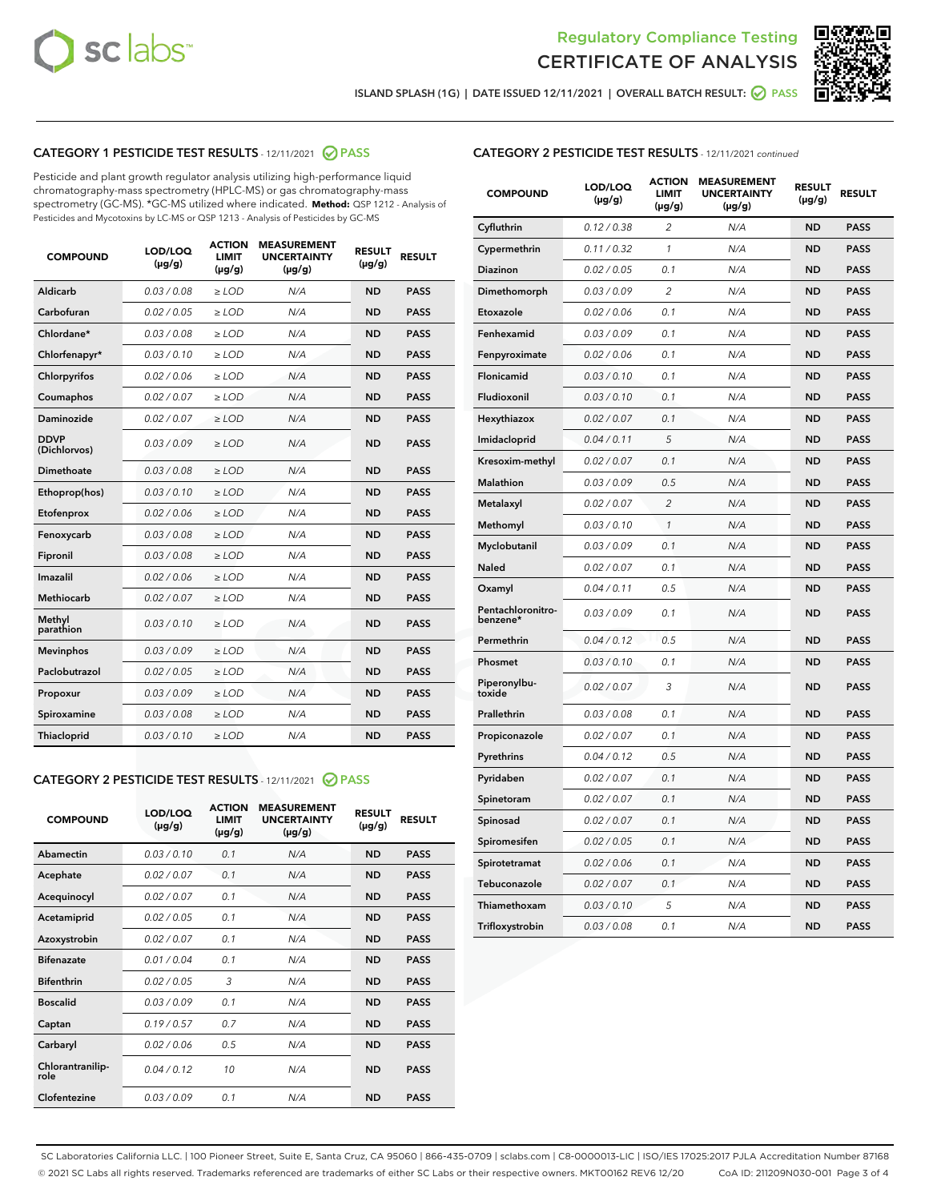



ISLAND SPLASH (1G) | DATE ISSUED 12/11/2021 | OVERALL BATCH RESULT: ● PASS

# CATEGORY 1 PESTICIDE TEST RESULTS - 12/11/2021 2 PASS

Pesticide and plant growth regulator analysis utilizing high-performance liquid chromatography-mass spectrometry (HPLC-MS) or gas chromatography-mass spectrometry (GC-MS). \*GC-MS utilized where indicated. **Method:** QSP 1212 - Analysis of Pesticides and Mycotoxins by LC-MS or QSP 1213 - Analysis of Pesticides by GC-MS

| Aldicarb<br>0.03 / 0.08<br><b>ND</b><br>$\ge$ LOD<br>N/A<br><b>PASS</b><br>Carbofuran<br>0.02/0.05<br>N/A<br><b>ND</b><br><b>PASS</b><br>$\ge$ LOD<br>Chlordane*<br>0.03 / 0.08<br><b>ND</b><br><b>PASS</b><br>$\ge$ LOD<br>N/A<br>0.03/0.10<br><b>ND</b><br><b>PASS</b><br>Chlorfenapyr*<br>$\ge$ LOD<br>N/A<br>Chlorpyrifos<br>0.02 / 0.06<br>N/A<br><b>ND</b><br><b>PASS</b><br>$\ge$ LOD<br>0.02 / 0.07<br>N/A<br><b>ND</b><br><b>PASS</b><br>Coumaphos<br>$>$ LOD<br><b>ND</b><br><b>PASS</b><br>Daminozide<br>0.02 / 0.07<br>$\ge$ LOD<br>N/A<br><b>DDVP</b><br>0.03/0.09<br>$\ge$ LOD<br>N/A<br><b>ND</b><br><b>PASS</b><br>(Dichlorvos)<br>Dimethoate<br><b>ND</b><br><b>PASS</b><br>0.03 / 0.08<br>$>$ LOD<br>N/A<br>Ethoprop(hos)<br>0.03/0.10<br>$\ge$ LOD<br>N/A<br><b>ND</b><br><b>PASS</b><br>0.02 / 0.06<br>$\ge$ LOD<br>N/A<br><b>ND</b><br><b>PASS</b><br>Etofenprox<br>Fenoxycarb<br>0.03 / 0.08<br>$>$ LOD<br>N/A<br><b>ND</b><br><b>PASS</b><br>0.03/0.08<br><b>ND</b><br><b>PASS</b><br>Fipronil<br>$\ge$ LOD<br>N/A<br>Imazalil<br>0.02 / 0.06<br>$>$ LOD<br>N/A<br><b>ND</b><br><b>PASS</b><br>Methiocarb<br>0.02 / 0.07<br>N/A<br><b>ND</b><br><b>PASS</b><br>$\ge$ LOD<br>Methyl<br>0.03/0.10<br>$\ge$ LOD<br>N/A<br><b>ND</b><br><b>PASS</b><br>parathion<br>0.03/0.09<br>$\ge$ LOD<br>N/A<br><b>ND</b><br><b>PASS</b><br><b>Mevinphos</b><br>Paclobutrazol<br>0.02 / 0.05<br>$\ge$ LOD<br>N/A<br><b>ND</b><br><b>PASS</b><br>0.03/0.09<br>N/A<br>$\ge$ LOD<br><b>ND</b><br><b>PASS</b><br>Propoxur<br>0.03 / 0.08<br><b>ND</b><br><b>PASS</b><br>Spiroxamine<br>$\ge$ LOD<br>N/A<br><b>PASS</b><br>Thiacloprid<br>0.03/0.10<br>$\ge$ LOD<br>N/A<br><b>ND</b> | <b>COMPOUND</b> | LOD/LOQ<br>$(\mu g/g)$ | <b>ACTION</b><br><b>LIMIT</b><br>$(\mu g/g)$ | <b>MEASUREMENT</b><br><b>UNCERTAINTY</b><br>$(\mu g/g)$ | <b>RESULT</b><br>$(\mu g/g)$ | <b>RESULT</b> |
|-----------------------------------------------------------------------------------------------------------------------------------------------------------------------------------------------------------------------------------------------------------------------------------------------------------------------------------------------------------------------------------------------------------------------------------------------------------------------------------------------------------------------------------------------------------------------------------------------------------------------------------------------------------------------------------------------------------------------------------------------------------------------------------------------------------------------------------------------------------------------------------------------------------------------------------------------------------------------------------------------------------------------------------------------------------------------------------------------------------------------------------------------------------------------------------------------------------------------------------------------------------------------------------------------------------------------------------------------------------------------------------------------------------------------------------------------------------------------------------------------------------------------------------------------------------------------------------------------------------------------------------------------------------------------------------------|-----------------|------------------------|----------------------------------------------|---------------------------------------------------------|------------------------------|---------------|
|                                                                                                                                                                                                                                                                                                                                                                                                                                                                                                                                                                                                                                                                                                                                                                                                                                                                                                                                                                                                                                                                                                                                                                                                                                                                                                                                                                                                                                                                                                                                                                                                                                                                                         |                 |                        |                                              |                                                         |                              |               |
|                                                                                                                                                                                                                                                                                                                                                                                                                                                                                                                                                                                                                                                                                                                                                                                                                                                                                                                                                                                                                                                                                                                                                                                                                                                                                                                                                                                                                                                                                                                                                                                                                                                                                         |                 |                        |                                              |                                                         |                              |               |
|                                                                                                                                                                                                                                                                                                                                                                                                                                                                                                                                                                                                                                                                                                                                                                                                                                                                                                                                                                                                                                                                                                                                                                                                                                                                                                                                                                                                                                                                                                                                                                                                                                                                                         |                 |                        |                                              |                                                         |                              |               |
|                                                                                                                                                                                                                                                                                                                                                                                                                                                                                                                                                                                                                                                                                                                                                                                                                                                                                                                                                                                                                                                                                                                                                                                                                                                                                                                                                                                                                                                                                                                                                                                                                                                                                         |                 |                        |                                              |                                                         |                              |               |
|                                                                                                                                                                                                                                                                                                                                                                                                                                                                                                                                                                                                                                                                                                                                                                                                                                                                                                                                                                                                                                                                                                                                                                                                                                                                                                                                                                                                                                                                                                                                                                                                                                                                                         |                 |                        |                                              |                                                         |                              |               |
|                                                                                                                                                                                                                                                                                                                                                                                                                                                                                                                                                                                                                                                                                                                                                                                                                                                                                                                                                                                                                                                                                                                                                                                                                                                                                                                                                                                                                                                                                                                                                                                                                                                                                         |                 |                        |                                              |                                                         |                              |               |
|                                                                                                                                                                                                                                                                                                                                                                                                                                                                                                                                                                                                                                                                                                                                                                                                                                                                                                                                                                                                                                                                                                                                                                                                                                                                                                                                                                                                                                                                                                                                                                                                                                                                                         |                 |                        |                                              |                                                         |                              |               |
|                                                                                                                                                                                                                                                                                                                                                                                                                                                                                                                                                                                                                                                                                                                                                                                                                                                                                                                                                                                                                                                                                                                                                                                                                                                                                                                                                                                                                                                                                                                                                                                                                                                                                         |                 |                        |                                              |                                                         |                              |               |
|                                                                                                                                                                                                                                                                                                                                                                                                                                                                                                                                                                                                                                                                                                                                                                                                                                                                                                                                                                                                                                                                                                                                                                                                                                                                                                                                                                                                                                                                                                                                                                                                                                                                                         |                 |                        |                                              |                                                         |                              |               |
|                                                                                                                                                                                                                                                                                                                                                                                                                                                                                                                                                                                                                                                                                                                                                                                                                                                                                                                                                                                                                                                                                                                                                                                                                                                                                                                                                                                                                                                                                                                                                                                                                                                                                         |                 |                        |                                              |                                                         |                              |               |
|                                                                                                                                                                                                                                                                                                                                                                                                                                                                                                                                                                                                                                                                                                                                                                                                                                                                                                                                                                                                                                                                                                                                                                                                                                                                                                                                                                                                                                                                                                                                                                                                                                                                                         |                 |                        |                                              |                                                         |                              |               |
|                                                                                                                                                                                                                                                                                                                                                                                                                                                                                                                                                                                                                                                                                                                                                                                                                                                                                                                                                                                                                                                                                                                                                                                                                                                                                                                                                                                                                                                                                                                                                                                                                                                                                         |                 |                        |                                              |                                                         |                              |               |
|                                                                                                                                                                                                                                                                                                                                                                                                                                                                                                                                                                                                                                                                                                                                                                                                                                                                                                                                                                                                                                                                                                                                                                                                                                                                                                                                                                                                                                                                                                                                                                                                                                                                                         |                 |                        |                                              |                                                         |                              |               |
|                                                                                                                                                                                                                                                                                                                                                                                                                                                                                                                                                                                                                                                                                                                                                                                                                                                                                                                                                                                                                                                                                                                                                                                                                                                                                                                                                                                                                                                                                                                                                                                                                                                                                         |                 |                        |                                              |                                                         |                              |               |
|                                                                                                                                                                                                                                                                                                                                                                                                                                                                                                                                                                                                                                                                                                                                                                                                                                                                                                                                                                                                                                                                                                                                                                                                                                                                                                                                                                                                                                                                                                                                                                                                                                                                                         |                 |                        |                                              |                                                         |                              |               |
|                                                                                                                                                                                                                                                                                                                                                                                                                                                                                                                                                                                                                                                                                                                                                                                                                                                                                                                                                                                                                                                                                                                                                                                                                                                                                                                                                                                                                                                                                                                                                                                                                                                                                         |                 |                        |                                              |                                                         |                              |               |
|                                                                                                                                                                                                                                                                                                                                                                                                                                                                                                                                                                                                                                                                                                                                                                                                                                                                                                                                                                                                                                                                                                                                                                                                                                                                                                                                                                                                                                                                                                                                                                                                                                                                                         |                 |                        |                                              |                                                         |                              |               |
|                                                                                                                                                                                                                                                                                                                                                                                                                                                                                                                                                                                                                                                                                                                                                                                                                                                                                                                                                                                                                                                                                                                                                                                                                                                                                                                                                                                                                                                                                                                                                                                                                                                                                         |                 |                        |                                              |                                                         |                              |               |
|                                                                                                                                                                                                                                                                                                                                                                                                                                                                                                                                                                                                                                                                                                                                                                                                                                                                                                                                                                                                                                                                                                                                                                                                                                                                                                                                                                                                                                                                                                                                                                                                                                                                                         |                 |                        |                                              |                                                         |                              |               |
|                                                                                                                                                                                                                                                                                                                                                                                                                                                                                                                                                                                                                                                                                                                                                                                                                                                                                                                                                                                                                                                                                                                                                                                                                                                                                                                                                                                                                                                                                                                                                                                                                                                                                         |                 |                        |                                              |                                                         |                              |               |
|                                                                                                                                                                                                                                                                                                                                                                                                                                                                                                                                                                                                                                                                                                                                                                                                                                                                                                                                                                                                                                                                                                                                                                                                                                                                                                                                                                                                                                                                                                                                                                                                                                                                                         |                 |                        |                                              |                                                         |                              |               |

#### CATEGORY 2 PESTICIDE TEST RESULTS - 12/11/2021 @ PASS

| <b>COMPOUND</b>          | LOD/LOQ<br>$(\mu g/g)$ | <b>ACTION</b><br>LIMIT<br>$(\mu g/g)$ | <b>MEASUREMENT</b><br><b>UNCERTAINTY</b><br>$(\mu g/g)$ | <b>RESULT</b><br>$(\mu g/g)$ | <b>RESULT</b> |  |
|--------------------------|------------------------|---------------------------------------|---------------------------------------------------------|------------------------------|---------------|--|
| Abamectin                | 0.03/0.10              | 0.1                                   | N/A                                                     | <b>ND</b>                    | <b>PASS</b>   |  |
| Acephate                 | 0.02/0.07              | 0.1                                   | N/A                                                     | <b>ND</b>                    | <b>PASS</b>   |  |
| Acequinocyl              | 0.02 / 0.07            | 0.1                                   | N/A                                                     | <b>ND</b>                    | <b>PASS</b>   |  |
| Acetamiprid              | 0.02/0.05              | 0.1                                   | N/A                                                     | <b>ND</b>                    | <b>PASS</b>   |  |
| Azoxystrobin             | 0.02/0.07              | 0.1                                   | N/A                                                     | <b>ND</b>                    | <b>PASS</b>   |  |
| <b>Bifenazate</b>        | 0.01/0.04              | 0.1                                   | N/A                                                     | <b>ND</b>                    | <b>PASS</b>   |  |
| <b>Bifenthrin</b>        | 0.02 / 0.05            | 3                                     | N/A                                                     | <b>ND</b>                    | <b>PASS</b>   |  |
| <b>Boscalid</b>          | 0.03/0.09              | 0.1                                   | N/A                                                     | <b>ND</b>                    | <b>PASS</b>   |  |
| Captan                   | 0.19/0.57              | 07                                    | N/A                                                     | <b>ND</b>                    | <b>PASS</b>   |  |
| Carbaryl                 | 0.02/0.06              | 0.5                                   | N/A                                                     | <b>ND</b>                    | <b>PASS</b>   |  |
| Chlorantranilip-<br>role | 0.04/0.12              | 10                                    | N/A                                                     | <b>ND</b>                    | <b>PASS</b>   |  |
| Clofentezine             | 0.03/0.09              | 0.1                                   | N/A                                                     | <b>ND</b>                    | <b>PASS</b>   |  |

| <b>COMPOUND</b>               | LOD/LOQ<br>(µg/g) | <b>ACTION</b><br>LIMIT<br>(µg/g) | <b>MEASUREMENT</b><br><b>UNCERTAINTY</b><br>(µg/g) | <b>RESULT</b><br>(µg/g) | <b>RESULT</b> |
|-------------------------------|-------------------|----------------------------------|----------------------------------------------------|-------------------------|---------------|
| Cyfluthrin                    | 0.12 / 0.38       | $\overline{c}$                   | N/A                                                | <b>ND</b>               | <b>PASS</b>   |
| Cypermethrin                  | 0.11/0.32         | 1                                | N/A                                                | <b>ND</b>               | <b>PASS</b>   |
| <b>Diazinon</b>               | 0.02 / 0.05       | 0.1                              | N/A                                                | <b>ND</b>               | <b>PASS</b>   |
| Dimethomorph                  | 0.03 / 0.09       | 2                                | N/A                                                | <b>ND</b>               | <b>PASS</b>   |
| Etoxazole                     | 0.02 / 0.06       | 0.1                              | N/A                                                | <b>ND</b>               | <b>PASS</b>   |
| Fenhexamid                    | 0.03 / 0.09       | 0.1                              | N/A                                                | <b>ND</b>               | <b>PASS</b>   |
| Fenpyroximate                 | 0.02 / 0.06       | 0.1                              | N/A                                                | <b>ND</b>               | <b>PASS</b>   |
| Flonicamid                    | 0.03 / 0.10       | 0.1                              | N/A                                                | <b>ND</b>               | <b>PASS</b>   |
| Fludioxonil                   | 0.03/0.10         | 0.1                              | N/A                                                | <b>ND</b>               | <b>PASS</b>   |
| Hexythiazox                   | 0.02 / 0.07       | 0.1                              | N/A                                                | <b>ND</b>               | <b>PASS</b>   |
| Imidacloprid                  | 0.04 / 0.11       | 5                                | N/A                                                | <b>ND</b>               | <b>PASS</b>   |
| Kresoxim-methyl               | 0.02 / 0.07       | 0.1                              | N/A                                                | <b>ND</b>               | <b>PASS</b>   |
| Malathion                     | 0.03 / 0.09       | 0.5                              | N/A                                                | <b>ND</b>               | <b>PASS</b>   |
| Metalaxyl                     | 0.02 / 0.07       | $\overline{c}$                   | N/A                                                | <b>ND</b>               | <b>PASS</b>   |
| Methomyl                      | 0.03 / 0.10       | 1                                | N/A                                                | <b>ND</b>               | <b>PASS</b>   |
| Myclobutanil                  | 0.03/0.09         | 0.1                              | N/A                                                | <b>ND</b>               | <b>PASS</b>   |
| Naled                         | 0.02 / 0.07       | 0.1                              | N/A                                                | <b>ND</b>               | <b>PASS</b>   |
| Oxamyl                        | 0.04 / 0.11       | 0.5                              | N/A                                                | <b>ND</b>               | <b>PASS</b>   |
| Pentachloronitro-<br>benzene* | 0.03/0.09         | 0.1                              | N/A                                                | <b>ND</b>               | <b>PASS</b>   |
| Permethrin                    | 0.04 / 0.12       | 0.5                              | N/A                                                | <b>ND</b>               | <b>PASS</b>   |
| Phosmet                       | 0.03 / 0.10       | 0.1                              | N/A                                                | <b>ND</b>               | <b>PASS</b>   |
| Piperonylbu-<br>toxide        | 0.02 / 0.07       | 3                                | N/A                                                | <b>ND</b>               | <b>PASS</b>   |
| Prallethrin                   | 0.03 / 0.08       | 0.1                              | N/A                                                | <b>ND</b>               | <b>PASS</b>   |
| Propiconazole                 | 0.02 / 0.07       | 0.1                              | N/A                                                | <b>ND</b>               | <b>PASS</b>   |
| Pyrethrins                    | 0.04 / 0.12       | 0.5                              | N/A                                                | <b>ND</b>               | <b>PASS</b>   |
| Pyridaben                     | 0.02 / 0.07       | 0.1                              | N/A                                                | <b>ND</b>               | <b>PASS</b>   |
| Spinetoram                    | 0.02 / 0.07       | 0.1                              | N/A                                                | <b>ND</b>               | <b>PASS</b>   |
| Spinosad                      | 0.02 / 0.07       | 0.1                              | N/A                                                | <b>ND</b>               | <b>PASS</b>   |
| Spiromesifen                  | 0.02 / 0.05       | 0.1                              | N/A                                                | <b>ND</b>               | <b>PASS</b>   |
| Spirotetramat                 | 0.02 / 0.06       | 0.1                              | N/A                                                | <b>ND</b>               | <b>PASS</b>   |
| Tebuconazole                  | 0.02 / 0.07       | 0.1                              | N/A                                                | <b>ND</b>               | <b>PASS</b>   |
| Thiamethoxam                  | 0.03 / 0.10       | 5                                | N/A                                                | <b>ND</b>               | <b>PASS</b>   |
| Trifloxystrobin               | 0.03 / 0.08       | 0.1                              | N/A                                                | <b>ND</b>               | <b>PASS</b>   |

SC Laboratories California LLC. | 100 Pioneer Street, Suite E, Santa Cruz, CA 95060 | 866-435-0709 | sclabs.com | C8-0000013-LIC | ISO/IES 17025:2017 PJLA Accreditation Number 87168 © 2021 SC Labs all rights reserved. Trademarks referenced are trademarks of either SC Labs or their respective owners. MKT00162 REV6 12/20 CoA ID: 211209N030-001 Page 3 of 4